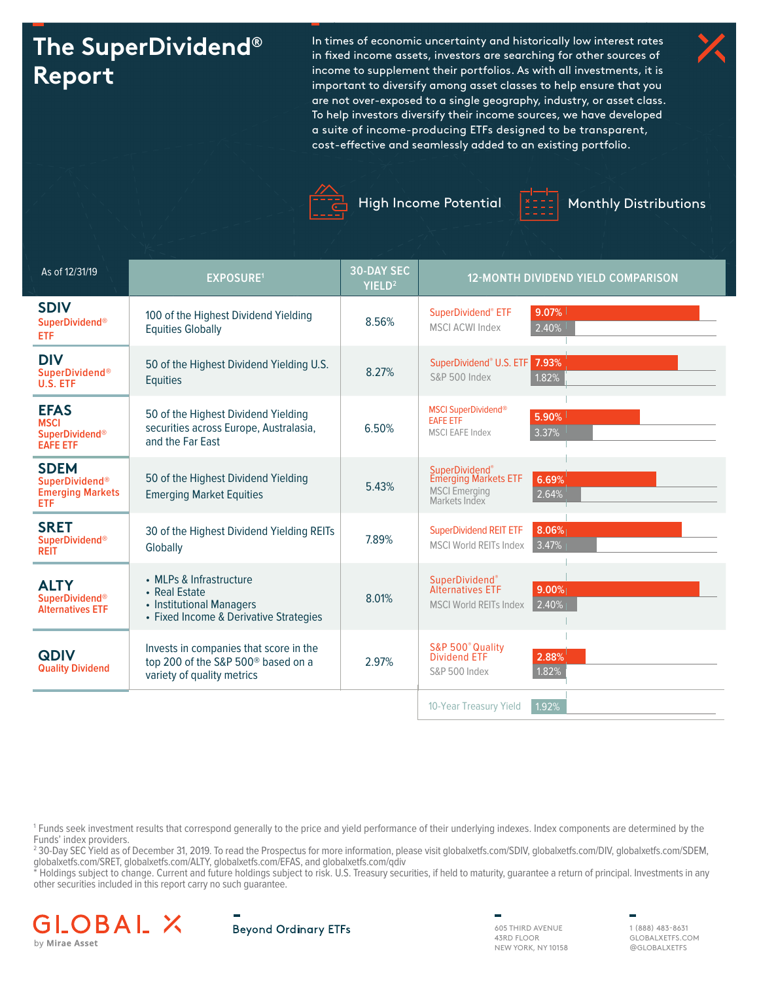# **The SuperDividend® Report**

In times of economic uncertainty and historically low interest rates in fixed income assets, investors are searching for other sources of income to supplement their portfolios. As with all investments, it is important to diversify among asset classes to help ensure that you are not over-exposed to a single geography, industry, or asset class. To help investors diversify their income sources, we have developed a suite of income-producing ETFs designed to be transparent, cost-effective and seamlessly added to an existing portfolio.





High Income Potential  $\frac{2z}{z}$  Monthly Distributions



| As of 12/31/19                                                                | <b>EXPOSURE1</b>                                                                                                       | <b>30-DAY SEC</b><br>YIELD <sup>2</sup> | 12-MONTH DIVIDEND YIELD COMPARISON                                                                     |
|-------------------------------------------------------------------------------|------------------------------------------------------------------------------------------------------------------------|-----------------------------------------|--------------------------------------------------------------------------------------------------------|
| <b>SDIV</b><br><b>SuperDividend®</b><br>ETF                                   | 100 of the Highest Dividend Yielding<br><b>Equities Globally</b>                                                       | 8.56%                                   | $9.07\%$<br>SuperDividend® ETF<br><b>MSCI ACWI Index</b><br>2.40%                                      |
| <b>DIV</b><br><b>SuperDividend®</b><br>U.S. ETF                               | 50 of the Highest Dividend Yielding U.S.<br><b>Equities</b>                                                            | 8.27%                                   | 7.93%<br>SuperDividend <sup>®</sup> U.S. ETF<br>1.82%<br>S&P 500 Index                                 |
| <b>EFAS</b><br><b>MSCI</b><br><b>SuperDividend®</b><br><b>EAFE ETF</b>        | 50 of the Highest Dividend Yielding<br>securities across Europe, Australasia,<br>and the Far East                      | 6.50%                                   | <b>MSCI SuperDividend®</b><br>$5.90\%$<br><b>EAFE ETF</b><br>3.37%<br><b>MSCI EAFE Index</b>           |
| <b>SDEM</b><br><b>SuperDividend®</b><br><b>Emerging Markets</b><br><b>ETF</b> | 50 of the Highest Dividend Yielding<br><b>Emerging Market Equities</b>                                                 | 5.43%                                   | SuperDividend®<br>Emerging Markets ETF<br>6.69%<br><b>MSCI</b> Emerging<br>2.64%<br>Markets Index      |
| <b>SRET</b><br><b>SuperDividend®</b><br><b>REIT</b>                           | 30 of the Highest Dividend Yielding REITs<br>Globally                                                                  | 7.89%                                   | 8.06%<br><b>SuperDividend REIT ETF</b><br>3.47%<br><b>MSCI World REITs Index</b>                       |
| <b>ALTY</b><br><b>SuperDividend®</b><br><b>Alternatives ETF</b>               | • MLPs & Infrastructure<br>• Real Estate<br>• Institutional Managers<br>• Fixed Income & Derivative Strategies         | 8.01%                                   | <b>SuperDividend®</b><br><b>Alternatives ETF</b><br>$9.00\%$<br>2.40%<br><b>MSCI World REITs Index</b> |
| <b>QDIV</b><br><b>Quality Dividend</b>                                        | Invests in companies that score in the<br>top 200 of the S&P 500 <sup>®</sup> based on a<br>variety of quality metrics | 2.97%                                   | S&P 500° Quality<br><b>Dividend ETF</b><br>2.88%<br>1.82%<br><b>S&amp;P 500 Index</b>                  |
|                                                                               |                                                                                                                        |                                         | 1.92%<br>10-Year Treasury Yield                                                                        |

1 Funds seek investment results that correspond generally to the price and yield performance of their underlying indexes. Index components are determined by the Funds' index providers.

2 30-Day SEC Yield as of December 31, 2019. To read the Prospectus for more information, please visit globalxetfs.com/SDIV, globalxetfs.com/DIV, globalxetfs.com/SDEM, globalxetfs.com/SRET, globalxetfs.com/ALTY, globalxetfs.com/EFAS, and globalxetfs.com/qdiv

\* Holdings subject to change. Current and future holdings subject to risk. U.S. Treasury securities, if held to maturity, guarantee a return of principal. Investments in any other securities included in this report carry no such guarantee.





605 THIRD AVENUE 43RD FLOOR NEW YORK, NY 10158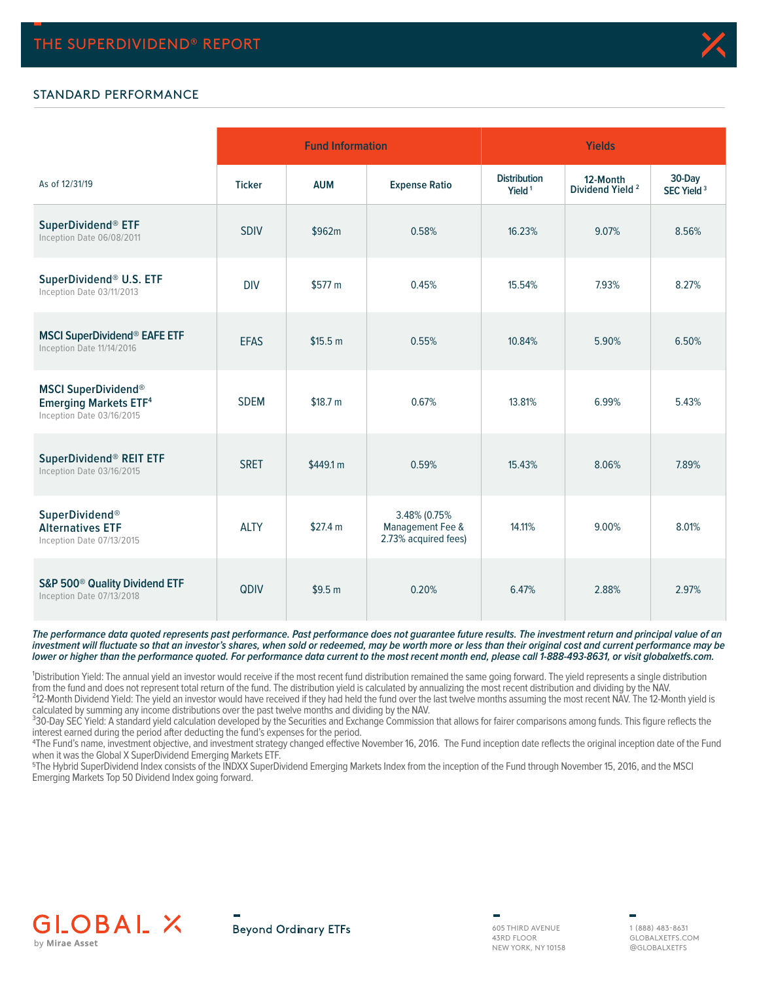

### STANDARD PERFORMANCE

|                                                                                         |               | <b>Fund Information</b> |                                                          | <b>Yields</b>                             |                                         |                                  |  |  |
|-----------------------------------------------------------------------------------------|---------------|-------------------------|----------------------------------------------------------|-------------------------------------------|-----------------------------------------|----------------------------------|--|--|
| As of 12/31/19                                                                          | <b>Ticker</b> | <b>AUM</b>              | <b>Expense Ratio</b>                                     | <b>Distribution</b><br>Yield <sup>1</sup> | 12-Month<br>Dividend Yield <sup>2</sup> | 30-Day<br>SEC Yield <sup>3</sup> |  |  |
| SuperDividend® ETF<br>Inception Date 06/08/2011                                         | <b>SDIV</b>   | \$962m                  | 0.58%                                                    | 16.23%                                    | 9.07%                                   | 8.56%                            |  |  |
| SuperDividend® U.S. ETF<br>Inception Date 03/11/2013                                    | <b>DIV</b>    | \$577 m                 | 0.45%                                                    | 15.54%                                    | 7.93%                                   | 8.27%                            |  |  |
| <b>MSCI SuperDividend® EAFE ETF</b><br>Inception Date 11/14/2016                        | <b>EFAS</b>   | \$15.5 m                | 0.55%                                                    | 10.84%                                    | 5.90%                                   | 6.50%                            |  |  |
| <b>MSCI SuperDividend®</b><br><b>Emerging Markets ETF4</b><br>Inception Date 03/16/2015 | <b>SDEM</b>   | \$18.7 m                | 0.67%                                                    | 13.81%                                    | 6.99%                                   | 5.43%                            |  |  |
| SuperDividend® REIT ETF<br>Inception Date 03/16/2015                                    | <b>SRET</b>   | \$449.1 m               | 0.59%                                                    | 15.43%                                    | 8.06%                                   | 7.89%                            |  |  |
| <b>SuperDividend®</b><br><b>Alternatives ETF</b><br>Inception Date 07/13/2015           | <b>ALTY</b>   | \$27.4 m                | 3.48% (0.75%<br>Management Fee &<br>2.73% acquired fees) | 14.11%                                    | 9.00%                                   | 8.01%                            |  |  |
| S&P 500 <sup>®</sup> Quality Dividend ETF<br>Inception Date 07/13/2018                  | QDIV          | \$9.5 <sub>m</sub>      | 0.20%                                                    | 6.47%                                     | 2.88%                                   | 2.97%                            |  |  |

**The performance data quoted represents past performance. Past performance does not guarantee future results. The investment return and principal value of an investment will fluctuate so that an investor's shares, when sold or redeemed, may be worth more or less than their original cost and current performance may be lower or higher than the performance quoted. For performance data current to the most recent month end, please call 1-888-493-8631, or visit globalxetfs.com.**

<sup>1</sup>Distribution Yield: The annual yield an investor would receive if the most recent fund distribution remained the same going forward. The yield represents a single distribution from the fund and does not represent total return of the fund. The distribution yield is calculated by annualizing the most recent distribution and dividing by the NAV.

<sup>2</sup>12-Month Dividend Yield: The yield an investor would have received if they had held the fund over the last twelve months assuming the most recent NAV. The 12-Month yield is calculated by summing any income distributions over the past twelve months and dividing by the NAV.

<sup>3</sup>30-Day SEC Yield: A standard yield calculation developed by the Securities and Exchange Commission that allows for fairer comparisons among funds. This figure reflects the interest earned during the period after deducting the fund's expenses for the period.

4The Fund's name, investment objective, and investment strategy changed effective November 16, 2016. The Fund inception date reflects the original inception date of the Fund when it was the Global X SuperDividend Emerging Markets ETF.

5The Hybrid SuperDividend Index consists of the INDXX SuperDividend Emerging Markets Index from the inception of the Fund through November 15, 2016, and the MSCI Emerging Markets Top 50 Dividend Index going forward.



**Beyond Ordinary ETFs** 

605 THIRD AVENUE 43RD FLOOR NEW YORK, NY 10158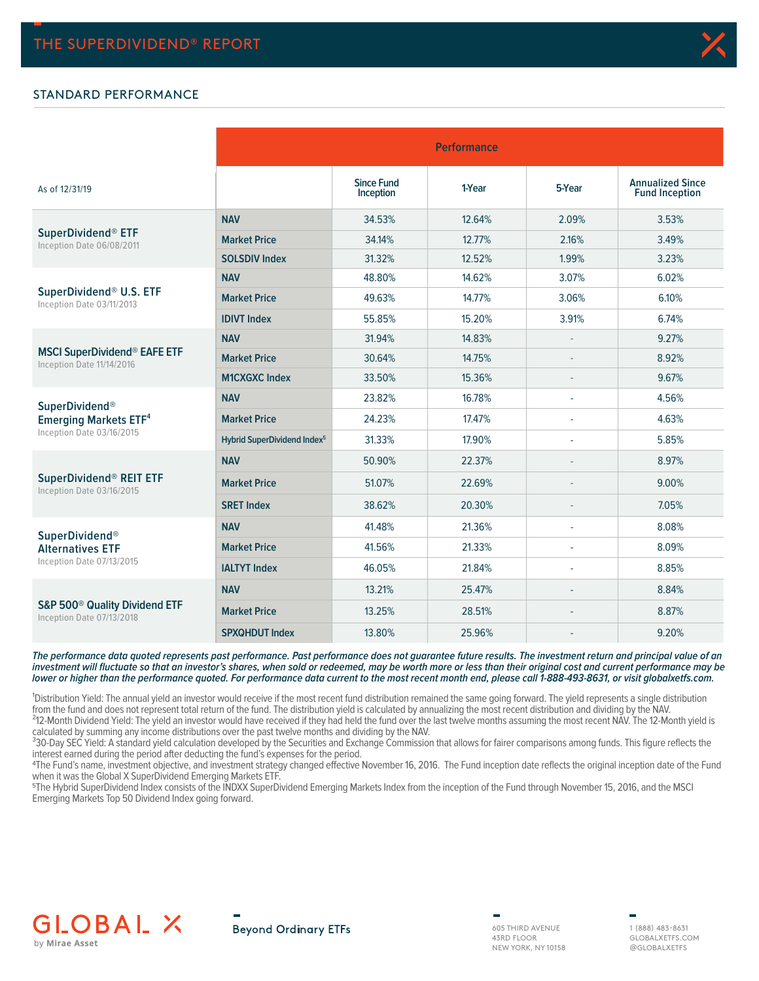### STANDARD PERFORMANCE

|                                                                        |                                         | <b>Performance</b>             |        |        |                                                  |  |  |  |  |  |  |
|------------------------------------------------------------------------|-----------------------------------------|--------------------------------|--------|--------|--------------------------------------------------|--|--|--|--|--|--|
| As of 12/31/19                                                         |                                         | <b>Since Fund</b><br>Inception | 1-Year | 5-Year | <b>Annualized Since</b><br><b>Fund Inception</b> |  |  |  |  |  |  |
|                                                                        | <b>NAV</b>                              | 34.53%                         | 12.64% | 2.09%  | 3.53%                                            |  |  |  |  |  |  |
| SuperDividend <sup>®</sup> ETF<br>Inception Date 06/08/2011            | <b>Market Price</b>                     | 34.14%                         | 12.77% | 2.16%  | 3.49%                                            |  |  |  |  |  |  |
|                                                                        | <b>SOLSDIV Index</b>                    | 31.32%                         | 12.52% | 1.99%  | 3.23%                                            |  |  |  |  |  |  |
|                                                                        | <b>NAV</b>                              | 48.80%                         | 14.62% | 3.07%  | 6.02%                                            |  |  |  |  |  |  |
| SuperDividend® U.S. ETF<br>Inception Date 03/11/2013                   | <b>Market Price</b>                     | 49.63%                         | 14.77% | 3.06%  | 6.10%                                            |  |  |  |  |  |  |
|                                                                        | <b>IDIVT Index</b>                      | 55.85%                         | 15.20% | 3.91%  | 6.74%                                            |  |  |  |  |  |  |
|                                                                        | <b>NAV</b>                              | 31.94%                         | 14.83% |        | 9.27%                                            |  |  |  |  |  |  |
| <b>MSCI SuperDividend® EAFE ETF</b><br>Inception Date 11/14/2016       | <b>Market Price</b>                     | 30.64%                         | 14.75% |        | 8.92%                                            |  |  |  |  |  |  |
|                                                                        | <b>M1CXGXC Index</b>                    | 33.50%                         | 15.36% |        | 9.67%                                            |  |  |  |  |  |  |
| <b>SuperDividend®</b>                                                  | <b>NAV</b>                              | 23.82%                         | 16.78% | ÷      | 4.56%                                            |  |  |  |  |  |  |
| <b>Emerging Markets ETF4</b>                                           | <b>Market Price</b>                     | 24.23%                         | 17.47% |        | 4.63%                                            |  |  |  |  |  |  |
| Inception Date 03/16/2015                                              | Hybrid SuperDividend Index <sup>5</sup> | 31.33%                         | 17.90% | ٠      | 5.85%                                            |  |  |  |  |  |  |
|                                                                        | <b>NAV</b>                              | 50.90%                         | 22.37% |        | 8.97%                                            |  |  |  |  |  |  |
| SuperDividend® REIT ETF<br>Inception Date 03/16/2015                   | <b>Market Price</b>                     | 51.07%                         | 22.69% |        | 9.00%                                            |  |  |  |  |  |  |
|                                                                        | <b>SRET Index</b>                       | 38.62%                         | 20.30% |        | 7.05%                                            |  |  |  |  |  |  |
| SuperDividend®                                                         | <b>NAV</b>                              | 41.48%                         | 21.36% |        | 8.08%                                            |  |  |  |  |  |  |
| <b>Alternatives ETF</b>                                                | <b>Market Price</b>                     | 41.56%                         | 21.33% |        | 8.09%                                            |  |  |  |  |  |  |
| Inception Date 07/13/2015                                              | <b>IALTYT Index</b>                     | 46.05%                         | 21.84% |        | 8.85%                                            |  |  |  |  |  |  |
|                                                                        | <b>NAV</b>                              | 13.21%                         | 25.47% |        | 8.84%                                            |  |  |  |  |  |  |
| S&P 500 <sup>®</sup> Quality Dividend ETF<br>Inception Date 07/13/2018 | <b>Market Price</b>                     | 13.25%                         | 28.51% |        | 8.87%                                            |  |  |  |  |  |  |
|                                                                        | <b>SPXQHDUT Index</b>                   | 13.80%                         | 25.96% |        | 9.20%                                            |  |  |  |  |  |  |

**The performance data quoted represents past performance. Past performance does not guarantee future results. The investment return and principal value of an investment will fluctuate so that an investor's shares, when sold or redeemed, may be worth more or less than their original cost and current performance may be lower or higher than the performance quoted. For performance data current to the most recent month end, please call 1-888-493-8631, or visit globalxetfs.com.**

<sup>1</sup>Distribution Yield: The annual yield an investor would receive if the most recent fund distribution remained the same going forward. The yield represents a single distribution from the fund and does not represent total return of the fund. The distribution yield is calculated by annualizing the most recent distribution and dividing by the NAV. <sup>2</sup>12-Month Dividend Yield: The yield an investor would have received if they had held the fund over the last twelve months assuming the most recent NAV. The 12-Month yield is calculated by summing any income distributions over the past twelve months and dividing by the NAV.

<sup>3</sup>30-Day SEC Yield: A standard yield calculation developed by the Securities and Exchange Commission that allows for fairer comparisons among funds. This figure reflects the interest earned during the period after deducting the fund's expenses for the period.

4The Fund's name, investment objective, and investment strategy changed effective November 16, 2016. The Fund inception date reflects the original inception date of the Fund when it was the Global X SuperDividend Emerging Markets ETF.

5The Hybrid SuperDividend Index consists of the INDXX SuperDividend Emerging Markets Index from the inception of the Fund through November 15, 2016, and the MSCI Emerging Markets Top 50 Dividend Index going forward.

# **GLOBAL X** by Mirae Asset



605 THIRD AVENUE 43RD FLOOR NEW YORK, NY 10158

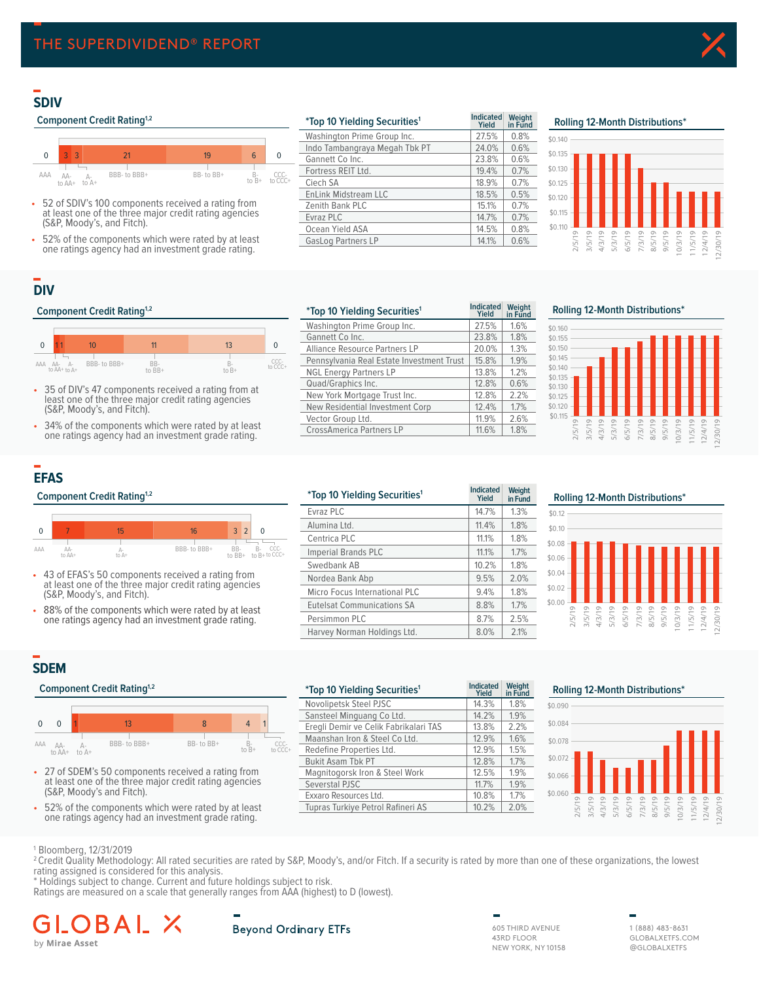# **SDIV**

#### **Component Credit Rating<sup>1,2</sup>**



- 52 of SDIV's 100 components received a rating from at least one of the three major credit rating agencies (S&P, Moody's, and Fitch).
- 52% of the components which were rated by at least one ratings agency had an investment grade rating.

| <i>*Top 10 Yielding Securities<sup>1</sup></i> | <b>Indicated</b><br>Yield | Weight<br>in Fund |
|------------------------------------------------|---------------------------|-------------------|
| Washington Prime Group Inc.                    | 27.5%                     | 0.8%              |
| Indo Tambangraya Megah Tbk PT                  | 24.0%                     | 0.6%              |
| Gannett Co Inc.                                | 23.8%                     | 0.6%              |
| Fortress REIT Ltd.                             | 19.4%                     | 0.7%              |
| Ciech SA                                       | 18.9%                     | 0.7%              |
| <b>EnLink Midstream LLC</b>                    | 18.5%                     | 0.5%              |
| Zenith Bank PLC                                | 15.1%                     | 0.7%              |
| Evraz PLC                                      | 14.7%                     | 0.7%              |
| Ocean Yield ASA                                | 14.5%                     | 0.8%              |
| <b>GasLog Partners LP</b>                      | 14.1%                     | 0.6%              |

### **SDIV Rolling 12 Month Distributions² Rolling 12-Month Distributions\***



# **DIV**

#### **Component Credit Rating<sup>1,2</sup>**



- 35 of DIV's 47 components received a rating from at least one of the three major credit rating agencies (S&P, Moody's, and Fitch).
- 34% of the components which were rated by at least one ratings agency had an investment grade rating.

| *Top 10 Yielding Securities <sup>1</sup>  | <b>Indicated</b><br>Yield | Weight<br>in Fund |
|-------------------------------------------|---------------------------|-------------------|
| Washington Prime Group Inc.               | 27.5%                     | 1.6%              |
| Gannett Co Inc.                           | 23.8%                     | 1.8%              |
| Alliance Resource Partners LP             | 20.0%                     | 1.3%              |
| Pennsylvania Real Estate Investment Trust | 15.8%                     | 1.9%              |
| <b>NGL Energy Partners LP</b>             | 13.8%                     | 1.2%              |
| Quad/Graphics Inc.                        | 12.8%                     | 0.6%              |
| New York Mortgage Trust Inc.              | 12.8%                     | 2.2%              |
| New Residential Investment Corp           | 12.4%                     | 1.7%              |
| Vector Group Ltd.                         | 11.9%                     | 2.6%              |
| <b>CrossAmerica Partners LP</b>           | 11.6%                     | 1.8%              |
|                                           |                           |                   |

**DIV Rolling 12 Month Distributions² Rolling 12-Month Distributions\***



# **EFAS**



- 43 of EFAS's 50 components received a rating from at least one of the three major credit rating agencies (S&P, Moody's, and Fitch).
- 88% of the components which were rated by at least one ratings agency had an investment grade rating.

|          | <b>Component Credit Rating</b> <sup>1,2</sup> |                                                                                                               |              |                 | <i>*Top 10 Yielding Securities<sup>1</sup></i>     | <b>Indicated</b><br>Yield     | Weight<br>in Fund |      |
|----------|-----------------------------------------------|---------------------------------------------------------------------------------------------------------------|--------------|-----------------|----------------------------------------------------|-------------------------------|-------------------|------|
|          |                                               |                                                                                                               |              |                 |                                                    | Evraz PLC                     | 14.7%             | 1.3% |
| $\Omega$ | 7                                             | 15                                                                                                            | 16           | $3\overline{2}$ | $\Omega$                                           | Alumina Ltd.                  | 11.4%             | 1.8% |
|          |                                               |                                                                                                               |              |                 |                                                    | Centrica PLC                  | 11.1%             | 1.8% |
| AAA      | AA-<br>to AA+                                 | Д.<br>to A+                                                                                                   | BBB- to BBB+ | $BB-$<br>to BB+ | CCC-<br>B-<br>$\overline{10}B + 10\overline{C}C +$ | Imperial Brands PLC           | 11.1%             | 1.7% |
|          |                                               |                                                                                                               |              |                 |                                                    | Swedbank AB                   | 10.2%             | 1.8% |
|          |                                               | • 43 of EFAS's 50 components received a rating from<br>at least one of the three major credit rating agencies |              |                 |                                                    | Nordea Bank Abp               | 9.5%              | 2.0% |
|          |                                               | (S&P, Moody's, and Fitch).                                                                                    |              |                 |                                                    | Micro Focus International PLC | 9.4%              | 1.8% |
| ٠        |                                               | 88% of the components which were rated by at least                                                            |              |                 |                                                    | Eutelsat Communications SA    | 8.8%              | 1.7% |
|          |                                               | one ratings agency had an investment grade rating.                                                            |              |                 | Persimmon PLC                                      | 8.7%                          | 2.5%              |      |
|          |                                               |                                                                                                               |              |                 |                                                    | Harvey Norman Holdings Ltd.   | 8.0%              | 2.1% |
|          |                                               |                                                                                                               |              |                 |                                                    |                               |                   |      |

\$0.02 \$0.04 \$0.06 \$0.08 \$0.10 \$0.12

# **SDEM**

#### **Component Credit Rating<sup>1,2</sup>**



- 27 of SDEM's 50 components received a rating from at least one of the three major credit rating agencies (S&P, Moody's and Fitch).
- 52% of the components which were rated by at least one ratings agency had an investment grade rating.

| Component Credit Rating <sup>1,2</sup>             |                                                        |  |                 |           |   |                                   | <i>*Top 10 Yielding Securities<sup>1</sup></i> | <b>Indicated</b><br><b>Yield</b> | Weight<br>in Fund | <b>Rolling 12-Month Distributions*</b> |  |  |  |  |  |  |  |
|----------------------------------------------------|--------------------------------------------------------|--|-----------------|-----------|---|-----------------------------------|------------------------------------------------|----------------------------------|-------------------|----------------------------------------|--|--|--|--|--|--|--|
|                                                    |                                                        |  |                 |           |   |                                   | Novolipetsk Steel PJSC                         | 14.3%                            | 1.8%              | \$0.090                                |  |  |  |  |  |  |  |
|                                                    |                                                        |  |                 |           |   |                                   | Sansteel Minguang Co Ltd.                      | 14.2%                            | 1.9%              |                                        |  |  |  |  |  |  |  |
|                                                    |                                                        |  | 13 <sup>2</sup> | 8         | 4 |                                   | Eregli Demir ve Celik Fabrikalari TAS          | 13.8%                            | 2.2%              | \$0.084                                |  |  |  |  |  |  |  |
| AA                                                 |                                                        |  | BBB- to BBB+    | BB-to BB+ |   | CCC-                              | Maanshan Iron & Steel Co Ltd.                  | 12.9%                            | 1.6%              | \$0.078                                |  |  |  |  |  |  |  |
| $AA-$<br>to B+<br>to CCC+<br>to $AA+$ to $A+$      |                                                        |  |                 |           |   |                                   | Redefine Properties Ltd.                       | 12.9%                            | 1.5%              |                                        |  |  |  |  |  |  |  |
|                                                    |                                                        |  |                 |           |   |                                   | <b>Bukit Asam Tbk PT</b>                       | 12.8%                            | 1.7%              |                                        |  |  |  |  |  |  |  |
| 27 of SDEM's 50 components received a rating from  |                                                        |  |                 |           |   | Magnitogorsk Iron & Steel Work    | 12.5%                                          | 1.9%                             | \$0.066           |                                        |  |  |  |  |  |  |  |
| (S&P, Moody's and Fitch).                          |                                                        |  |                 |           |   | Severstal PJSC                    | 11.7%                                          | 1.9%                             |                   |                                        |  |  |  |  |  |  |  |
|                                                    |                                                        |  |                 |           |   | Exxaro Resources Ltd.             | 10.8%                                          | 1.7%                             | \$0.060           |                                        |  |  |  |  |  |  |  |
| 52% of the components which were rated by at least |                                                        |  |                 |           |   | Tupras Turkiye Petrol Rafineri AS | 10.2%                                          | 2.0%                             |                   |                                        |  |  |  |  |  |  |  |
|                                                    | at least one of the three major credit rating agencies |  |                 |           |   | $$0.072 -$                        |                                                |                                  |                   |                                        |  |  |  |  |  |  |  |

\$0.00

**Weight** 

2/5/19 3/5/19 4/3/19 5/3/19 6/5/19 7/3/19 8/5/19 9/5/19 10/3/19 11/5/19 12/4/19 12/30/19



1 Bloomberg, 12/31/2019

<sup>2</sup> Credit Quality Methodology: All rated securities are rated by S&P, Moody's, and/or Fitch. If a security is rated by more than one of these organizations, the lowest rating assigned is considered for this analysis.

\* Holdings subject to change. Current and future holdings subject to risk.

Ratings are measured on a scale that generally ranges from AAA (highest) to D (lowest).

# B by Mirae Asset

### **Beyond Ordinary ETFs**

605 THIRD AVENUE 43RD FLOOR NEW YORK, NY 10158

|            |  | Rolling 12-Month Distributions* |  |  |  |
|------------|--|---------------------------------|--|--|--|
| \$0.12     |  |                                 |  |  |  |
| \$0.10     |  |                                 |  |  |  |
| \$0.08     |  |                                 |  |  |  |
| \$0.06     |  |                                 |  |  |  |
| $A \cap A$ |  |                                 |  |  |  |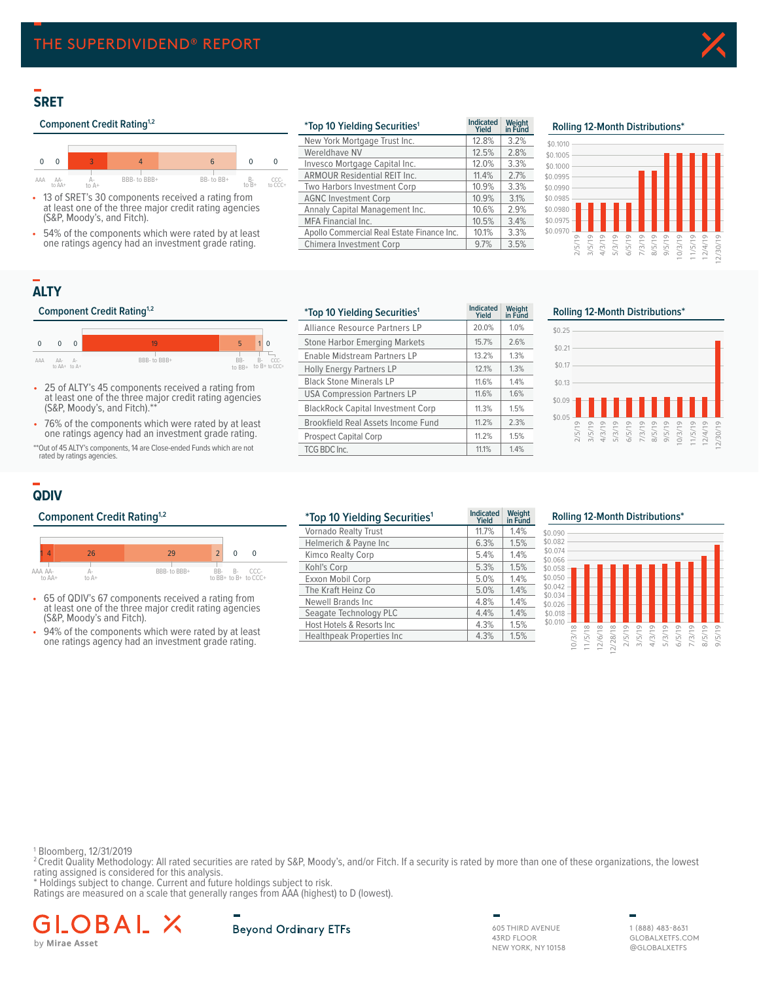# **SRET**

### **Component Credit Rating<sup>1,2</sup>**



- 13 of SRET's 30 components received a rating from at least one of the three major credit rating agencies (S&P, Moody's, and Fitch).
- 54% of the components which were rated by at least one ratings agency had an investment grade rating.

| <i>*Top 10 Yielding Securities<sup>1</sup></i> | <b>Indicated</b><br>Yield | Weight<br>in Fund | Rolling 12-Month Distributions*            |
|------------------------------------------------|---------------------------|-------------------|--------------------------------------------|
| New York Mortgage Trust Inc.                   | 12.8%                     | 3.2%              | \$0,1010                                   |
| Wereldhave NV                                  | 12.5%                     | 2.8%              | \$0,1005                                   |
| Invesco Mortgage Capital Inc.                  | 12.0%                     | 3.3%              | \$0,1000                                   |
| <b>ARMOUR Residential REIT Inc.</b>            | 11.4%                     | 2.7%              | \$0.0995                                   |
| Two Harbors Investment Corp                    | 10.9%                     | 3.3%              | \$0.0990                                   |
| <b>AGNC Investment Corp</b>                    | 10.9%                     | 3.1%              | \$0.0985                                   |
| Annaly Capital Management Inc.                 | 10.6%                     | 2.9%              | $$0.0980 -$                                |
| <b>MFA Financial Inc.</b>                      | 10.5%                     | 3.4%              | $$0.0975 -$                                |
| Apollo Commercial Real Estate Finance Inc.     | 10.1%                     | 3.3%              | \$0.0970<br>$\circ$                        |
| Chimera Investment Corp                        | 9.7%                      | 3.5%              | LO<br>$\infty$<br>5<br>LN<br>$\infty$<br>m |



# **ALTY**

#### **Component Credit Rating<sup>1,2</sup>**



- 25 of ALTY's 45 components received a rating from at least one of the three major credit rating agencies (S&P, Moody's, and Fitch).\*\*
- 76% of the components which were rated by at least one ratings agency had an investment grade rating.

\*\*Out of 45 ALTY's components, 14 are Close-ended Funds which are not rated by ratings agencies

| <i>*Top 10 Yielding Securities<sup>1</sup></i> | <b>Indicated</b><br>Yield | Weight<br>in Fund | Rolling 12-Month Distributions*                                    |
|------------------------------------------------|---------------------------|-------------------|--------------------------------------------------------------------|
| Alliance Resource Partners LP                  | 20.0%                     | 1.0%              | \$0.25                                                             |
| <b>Stone Harbor Emerging Markets</b>           | 15.7%                     | 2.6%              | \$0.21                                                             |
| Enable Midstream Partners LP                   | 13.2%                     | 1.3%              |                                                                    |
| <b>Holly Energy Partners LP</b>                | 12.1%                     | 1.3%              | \$0.17                                                             |
| <b>Black Stone Minerals LP</b>                 | 11.6%                     | 1.4%              | \$0.13                                                             |
| <b>USA Compression Partners LP</b>             | 11.6%                     | 1.6%              | \$0.09                                                             |
| <b>BlackRock Capital Investment Corp</b>       | 11.3%                     | 1.5%              |                                                                    |
| Brookfield Real Assets Income Fund             | 11.2%                     | 2.3%              | \$0.05                                                             |
| <b>Prospect Capital Corp</b>                   | 11.2%                     | 1.5%              | 3/5/19<br>4/3/19<br>6/5/19<br>6/5/19<br>8/5/19<br>0/3/19<br>9/5/19 |
| TCG BDC Inc.                                   | 11.1%                     | 1.4%              |                                                                    |
|                                                |                           |                   |                                                                    |



# **QDIV**



- 65 of QDIV's 67 components received a rating from at least one of the three major credit rating agencies (S&P, Moody's and Fitch).
- 94% of the components which were rated by at least one ratings agency had an investment grade rating.

| <b>Component Credit Rating<sup>1,2</sup></b>                                                               |                                              |                                                     |  |                                   |          | <i>*Top 10 Yielding Securities<sup>1</sup></i> | <b>Indicated</b><br>Yield | Weight<br>in Fund | <b>Rolling 12-Month Distribution</b> |  |  |  |  |
|------------------------------------------------------------------------------------------------------------|----------------------------------------------|-----------------------------------------------------|--|-----------------------------------|----------|------------------------------------------------|---------------------------|-------------------|--------------------------------------|--|--|--|--|
|                                                                                                            |                                              |                                                     |  |                                   |          | Vornado Realty Trust                           | 11.7%                     | 1.4%              | \$0.090                              |  |  |  |  |
|                                                                                                            |                                              |                                                     |  |                                   |          | Helmerich & Payne Inc                          | 6.3%                      | 1.5%              | \$0.082                              |  |  |  |  |
|                                                                                                            | 26                                           | 29                                                  |  | 0                                 | $\Omega$ | Kimco Realty Corp                              | 5.4%                      | 1.4%              | \$0.074<br>\$0.066                   |  |  |  |  |
| AAA AA-                                                                                                    |                                              | BBB- to BBB+                                        |  |                                   | CCC-     | Kohl's Corp                                    | 5.3%                      | 1.5%              | \$0.058                              |  |  |  |  |
| to AA+                                                                                                     | BB- B- CCC-<br>to BB+ to B+ to CCC+<br>to A+ |                                                     |  | Exxon Mobil Corp                  | 5.0%     | $1.4\%$                                        | \$0.050                   |                   |                                      |  |  |  |  |
|                                                                                                            |                                              |                                                     |  |                                   |          | The Kraft Heinz Co                             | 5.0%                      | 1.4%              | \$0.042<br>\$0.034                   |  |  |  |  |
|                                                                                                            |                                              | • 65 of QDIV's 67 components received a rating from |  |                                   |          | Newell Brands Inc                              | 4.8%                      | 1.4%              | \$0.026                              |  |  |  |  |
| at least one of the three major credit rating agencies                                                     |                                              |                                                     |  | Seagate Technology PLC            | 4.4%     | 1.4%                                           | \$0.018                   |                   |                                      |  |  |  |  |
| (S&P, Moody's and Fitch).                                                                                  |                                              |                                                     |  |                                   |          | Host Hotels & Resorts Inc                      | 4.3%                      | 1.5%              | \$0,010                              |  |  |  |  |
| • 94% of the components which were rated by at least<br>ano ratings against had an invostment grade rating |                                              |                                                     |  | <b>Healthpeak Properties Inc.</b> | 4.3%     | .5%                                            |                           |                   |                                      |  |  |  |  |

#### **\*Top 10 Yielding Securities Rolling 12-Month Distributions\* <sup>1</sup> Indicated**



1 Bloomberg, 12/31/2019

<sup>2</sup> Credit Quality Methodology: All rated securities are rated by S&P, Moody's, and/or Fitch. If a security is rated by more than one of these organizations, the lowest rating assigned is considered for this analysis. \* Holdings subject to change. Current and future holdings subject to risk.

Ratings are measured on a scale that generally ranges from AAA (highest) to D (lowest).

G B by Mirae Asset



605 THIRD AVENUE 43RD FLOOR NEW YORK, NY 10158